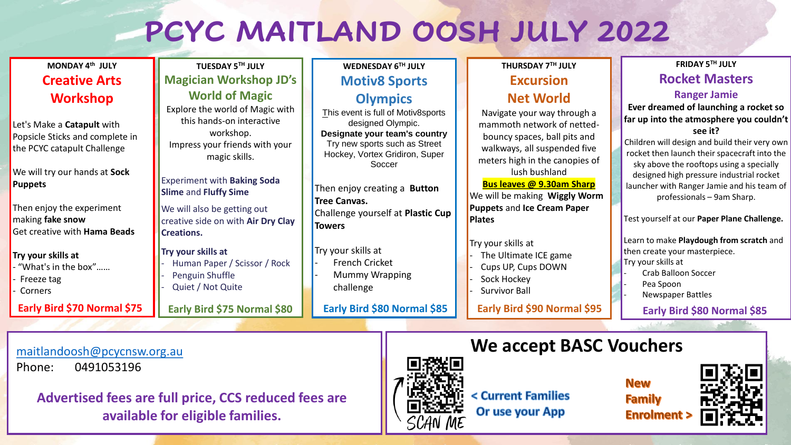# **PCYC MAITLAND OOSH JULY 2022**

| MONDAY 4th JULY                                                                                                        | TUESDAY 5TH JULY                                                                                                                                      | WEDNESDAY 6TH JULY                                                                                                                                                                                                              | THURSDAY 7TH JULY                                                                                                                                                               | FRIDAY 5TH JULY                                                                                                                                                                                                                                                 |
|------------------------------------------------------------------------------------------------------------------------|-------------------------------------------------------------------------------------------------------------------------------------------------------|---------------------------------------------------------------------------------------------------------------------------------------------------------------------------------------------------------------------------------|---------------------------------------------------------------------------------------------------------------------------------------------------------------------------------|-----------------------------------------------------------------------------------------------------------------------------------------------------------------------------------------------------------------------------------------------------------------|
| <b>Creative Arts</b>                                                                                                   | <b>Magician Workshop JD's</b>                                                                                                                         | <b>Motiv8 Sports</b>                                                                                                                                                                                                            | <b>Excursion</b>                                                                                                                                                                | <b>Rocket Masters</b>                                                                                                                                                                                                                                           |
| <b>Workshop</b><br>Let's Make a <b>Catapult</b> with<br>Popsicle Sticks and complete in<br>the PCYC catapult Challenge | <b>World of Magic</b><br>Explore the world of Magic with<br>this hands-on interactive<br>workshop.<br>Impress your friends with your<br>magic skills. | <b>Olympics</b><br>This event is full of Motiv8sports<br>designed Olympic.<br>Designate your team's country<br>Try new sports such as Street<br>Hockey, Vortex Gridiron, Super<br>Soccer<br>Then enjoy creating a <b>Button</b> | <b>Net World</b><br>Navigate your way through a<br>mammoth network of netted-<br>bouncy spaces, ball pits and<br>walkways, all suspended five<br>meters high in the canopies of | <b>Ranger Jamie</b><br>Ever dreamed of launching a rocket so<br>far up into the atmosphere you couldn't<br>see it?<br>Children will design and build their very own<br>rocket then launch their spacecraft into the<br>sky above the rooftops using a specially |
| We will try our hands at Sock<br><b>Puppets</b>                                                                        | <b>Experiment with Baking Soda</b><br><b>Slime and Fluffy Sime</b>                                                                                    |                                                                                                                                                                                                                                 | lush bushland<br><b>Bus leaves @ 9.30am Sharp</b><br>We will be making Wiggly Worm                                                                                              | designed high pressure industrial rocket<br>launcher with Ranger Jamie and his team of<br>professionals - 9am Sharp.                                                                                                                                            |
| Then enjoy the experiment<br>making <b>fake snow</b><br>Get creative with Hama Beads                                   | We will also be getting out<br>creative side on with Air Dry Clay<br><b>ICreations.</b>                                                               | <b>Tree Canvas.</b><br>Challenge yourself at Plastic Cup<br><b>Towers</b>                                                                                                                                                       | <b>Puppets and Ice Cream Paper</b><br><b>Plates</b>                                                                                                                             | Test yourself at our Paper Plane Challenge.                                                                                                                                                                                                                     |
| Try your skills at<br>- "What's in the box"<br>- Freeze tag<br>- Corners                                               | Try your skills at<br>Human Paper / Scissor / Rock<br>Penguin Shuffle<br>Quiet / Not Quite                                                            | Try your skills at<br>French Cricket<br>Mummy Wrapping<br>challenge                                                                                                                                                             | Try your skills at<br>The Ultimate ICE game<br>Cups UP, Cups DOWN<br>Sock Hockey<br><b>Survivor Ball</b>                                                                        | Learn to make Playdough from scratch and<br>then create your masterpiece.<br>Try your skills at<br><b>Crab Balloon Soccer</b><br>Pea Spoon<br>Newspaper Battles                                                                                                 |
| Early Bird \$70 Normal \$75                                                                                            | Early Bird \$75 Normal \$80                                                                                                                           | Early Bird \$80 Normal \$85                                                                                                                                                                                                     | Early Bird \$90 Normal \$95                                                                                                                                                     | Early Bird \$80 Normal \$85                                                                                                                                                                                                                                     |
|                                                                                                                        |                                                                                                                                                       |                                                                                                                                                                                                                                 |                                                                                                                                                                                 |                                                                                                                                                                                                                                                                 |

[maitlandoosh@pcycnsw.org.au](mailto:maitlandoosh@pcycnsw.org.au)

Phone: 0491053196

**Advertised fees are full price, CCS reduced fees are available for eligible families.** 



< Current Families Or use your App

**We accept BASC Vouchers** 

**New Family Enrolment**